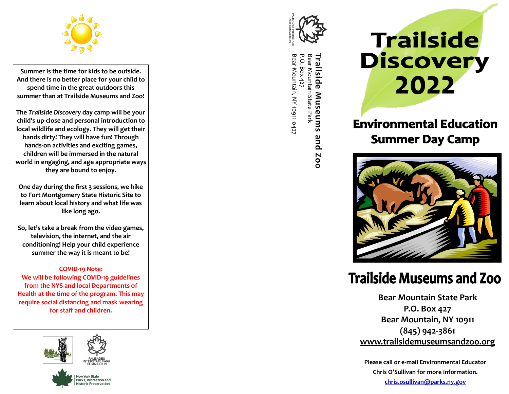

**Summer is the time for kids to be outside. And there is no better place for your child to spend time in the great outdoors this summer than at Trailside Museums and Zoo!**

**The** *Trailside Discovery* **day camp will be your child 's up -close and personal introduction to local wildlife and ecology. They will get their hands dirty! They will have fun! Through hands -on activities and exciting games, children will be immersed in the natural world in engaging, and age appropriate ways they are bound to enjoy.**

**One day during the first 3 sessions, we hike to Fort Montgomery State Historic Site to learn about local history and what life was like long ago.**

**So, let 's take a break from the video games, television, the internet, and the air conditioning! Help your child experience summer the way it is meant to be!**

#### **COVID -19 Note :**

**We will be following COVID -19 guidelines from the NYS and local Departments of Health at the time of the program. This may require social distancing and mask wearing for staff and children.** 





**Trailside Museums and Zoo Trailside Museums and**<br>Bear Mountain State Park<br>P.O. Box 427<br>Bear Mountain, NY 10911-0427 Bear Mountain, NY 10911 P.O. Box 427 Trailside **200** 

# **Trailside Discovery** 2022

### **Environmental Education Summer Day Camp**



## **Trailside Museums and Zoo**

**Bear Mountain State Park P.O. Box 427 Bear Mountain, NY 10911 (845) 942 -3861 www.trailsidemuseumsandzoo.org**

**Please call or e -mail Environmental Educator Chris O 'Sullivan for more information. chris.osullivan@parks.ny.gov**